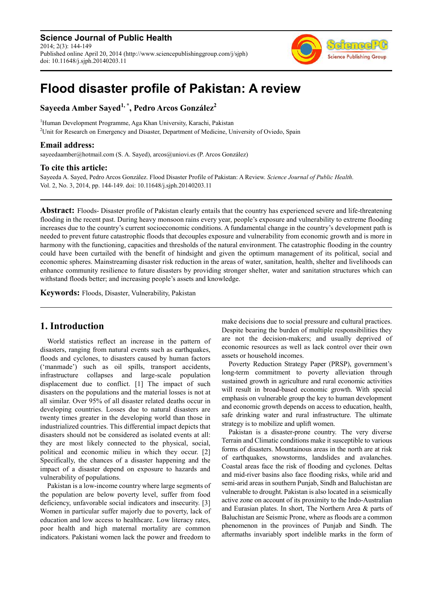**Science Journal of Public Health** 2014; 2(3): 144-149 Published online April 20, 2014 (http://www.sciencepublishinggroup.com/j/sjph) doi: 10.11648/j.sjph.20140203.11



# **Flood disaster profile of Pakistan: A review**

**Sayeeda Amber Sayed1, \*, Pedro Arcos González<sup>2</sup>**

<sup>1</sup>Human Development Programme, Aga Khan University, Karachi, Pakistan <sup>2</sup>Unit for Research on Emergency and Disaster, Department of Medicine, University of Oviedo, Spain

## **Email address:**

sayeedaamber@hotmail.com (S. A. Sayed), arcos@uniovi.es (P. Arcos González)

### **To cite this article:**

Sayeeda A. Sayed, Pedro Arcos González. Flood Disaster Profile of Pakistan: A Review. *Science Journal of Public Health*. Vol. 2, No. 3, 2014, pp. 144-149. doi: 10.11648/j.sjph.20140203.11

**Abstract:** Floods- Disaster profile of Pakistan clearly entails that the country has experienced severe and life-threatening flooding in the recent past. During heavy monsoon rains every year, people's exposure and vulnerability to extreme flooding increases due to the country's current socioeconomic conditions. A fundamental change in the country's development path is needed to prevent future catastrophic floods that decouples exposure and vulnerability from economic growth and is more in harmony with the functioning, capacities and thresholds of the natural environment. The catastrophic flooding in the country could have been curtailed with the benefit of hindsight and given the optimum management of its political, social and economic spheres. Mainstreaming disaster risk reduction in the areas of water, sanitation, health, shelter and livelihoods can enhance community resilience to future disasters by providing stronger shelter, water and sanitation structures which can withstand floods better; and increasing people's assets and knowledge.

**Keywords:** Floods, Disaster, Vulnerability, Pakistan

# **1. Introduction**

World statistics reflect an increase in the pattern of disasters, ranging from natural events such as earthquakes, floods and cyclones, to disasters caused by human factors ('manmade') such as oil spills, transport accidents, infrastructure collapses and large-scale population displacement due to conflict. [1] The impact of such disasters on the populations and the material losses is not at all similar. Over 95% of all disaster related deaths occur in developing countries. Losses due to natural disasters are twenty times greater in the developing world than those in industrialized countries. This differential impact depicts that disasters should not be considered as isolated events at all: they are most likely connected to the physical, social, political and economic milieu in which they occur. [2] Specifically, the chances of a disaster happening and the impact of a disaster depend on exposure to hazards and vulnerability of populations.

Pakistan is a low-income country where large segments of the population are below poverty level, suffer from food deficiency, unfavorable social indicators and insecurity. [3] Women in particular suffer majorly due to poverty, lack of education and low access to healthcare. Low literacy rates, poor health and high maternal mortality are common indicators. Pakistani women lack the power and freedom to

make decisions due to social pressure and cultural practices. Despite bearing the burden of multiple responsibilities they are not the decision-makers; and usually deprived of economic resources as well as lack control over their own assets or household incomes.

Poverty Reduction Strategy Paper (PRSP), government's long-term commitment to poverty alleviation through sustained growth in agriculture and rural economic activities will result in broad-based economic growth. With special emphasis on vulnerable group the key to human development and economic growth depends on access to education, health, safe drinking water and rural infrastructure. The ultimate strategy is to mobilize and uplift women.

Pakistan is a disaster-prone country. The very diverse Terrain and Climatic conditions make it susceptible to various forms of disasters. Mountainous areas in the north are at risk of earthquakes, snowstorms, landslides and avalanches. Coastal areas face the risk of flooding and cyclones. Deltas and mid-river basins also face flooding risks, while arid and semi-arid areas in southern Punjab, Sindh and Baluchistan are vulnerable to drought. Pakistan is also located in a seismically active zone on account of its proximity to the Indo-Australian and Eurasian plates. In short, The Northern Area & parts of Baluchistan are Seismic Prone, where as floods are a common phenomenon in the provinces of Punjab and Sindh. The aftermaths invariably sport indelible marks in the form of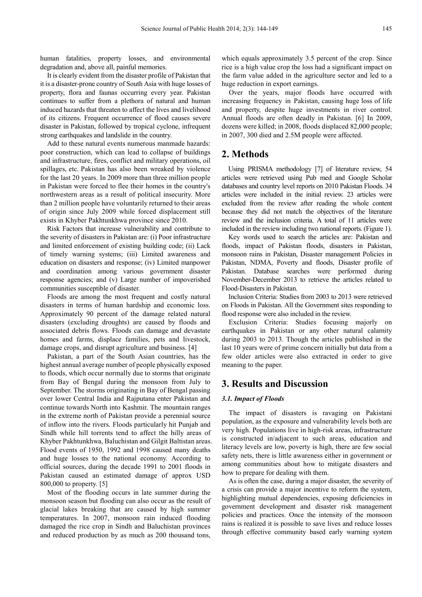human fatalities, property losses, and environmental degradation and, above all, painful memories.

It is clearly evident from the disaster profile of Pakistan that it is a disaster-prone country of South Asia with huge losses of property, flora and faunas occurring every year. Pakistan continues to suffer from a plethora of natural and human induced hazards that threaten to affect the lives and livelihood of its citizens. Frequent occurrence of flood causes severe disaster in Pakistan, followed by tropical cyclone, infrequent strong earthquakes and landslide in the country.

Add to these natural events numerous manmade hazards: poor construction, which can lead to collapse of buildings and infrastructure, fires, conflict and military operations, oil spillages, etc. Pakistan has also been wreaked by violence for the last 20 years. In 2009 more than three million people in Pakistan were forced to flee their homes in the country's northwestern areas as a result of political insecurity. More than 2 million people have voluntarily returned to their areas of origin since July 2009 while forced displacement still exists in Khyber Pakhtunkhwa province since 2010.

Risk Factors that increase vulnerability and contribute to the severity of disasters in Pakistan are: (i) Poor infrastructure and limited enforcement of existing building code; (ii) Lack of timely warning systems; (iii) Limited awareness and education on disasters and response; (iv) Limited manpower and coordination among various government disaster response agencies; and (v) Large number of impoverished communities susceptible of disaster.

Floods are among the most frequent and costly natural disasters in terms of human hardship and economic loss. Approximately 90 percent of the damage related natural disasters (excluding droughts) are caused by floods and associated debris flows. Floods can damage and devastate homes and farms, displace families, pets and livestock, damage crops, and disrupt agriculture and business. [4]

Pakistan, a part of the South Asian countries, has the highest annual average number of people physically exposed to floods, which occur normally due to storms that originate from Bay of Bengal during the monsoon from July to September. The storms originating in Bay of Bengal passing over lower Central India and Rajputana enter Pakistan and continue towards North into Kashmir. The mountain ranges in the extreme north of Pakistan provide a perennial source of inflow into the rivers. Floods particularly hit Punjab and Sindh while hill torrents tend to affect the hilly areas of Khyber Pakhtunkhwa, Baluchistan and Gilgit Baltistan areas. Flood events of 1950, 1992 and 1998 caused many deaths and huge losses to the national economy. According to official sources, during the decade 1991 to 2001 floods in Pakistan caused an estimated damage of approx USD 800,000 to property. [5]

Most of the flooding occurs in late summer during the monsoon season but flooding can also occur as the result of glacial lakes breaking that are caused by high summer temperatures. In 2007, monsoon rain induced flooding damaged the rice crop in Sindh and Baluchistan provinces and reduced production by as much as 200 thousand tons,

which equals approximately 3.5 percent of the crop. Since rice is a high value crop the loss had a significant impact on the farm value added in the agriculture sector and led to a huge reduction in export earnings.

Over the years, major floods have occurred with increasing frequency in Pakistan, causing huge loss of life and property, despite huge investments in river control. Annual floods are often deadly in Pakistan. [6] In 2009, dozens were killed; in 2008, floods displaced 82,000 people; in 2007, 300 died and 2.5M people were affected.

## **2. Methods**

Using PRISMA methodology [7] of literature review, 54 articles were retrieved using Pub med and Google Scholar databases and country level reports on 2010 Pakistan Floods. 34 articles were included in the initial review. 23 articles were excluded from the review after reading the whole content because they did not match the objectives of the literature review and the inclusion criteria. A total of 11 articles were included in the review including two national reports. (Figure 1).

Key words used to search the articles are: Pakistan and floods, impact of Pakistan floods, disasters in Pakistan, monsoon rains in Pakistan, Disaster management Policies in Pakistan, NDMA, Poverty and floods, Disaster profile of Pakistan. Database searches were performed during November-December 2013 to retrieve the articles related to Flood-Disasters in Pakistan.

Inclusion Criteria: Studies from 2003 to 2013 were retrieved on Floods in Pakistan. All the Government sites responding to flood response were also included in the review.

Exclusion Criteria: Studies focusing majorly on earthquakes in Pakistan or any other natural calamity during 2003 to 2013. Though the articles published in the last 10 years were of prime concern initially but data from a few older articles were also extracted in order to give meaning to the paper.

## **3. Results and Discussion**

#### *3.1. Impact of Floods*

The impact of disasters is ravaging on Pakistani population, as the exposure and vulnerability levels both are very high. Populations live in high-risk areas, infrastructure is constructed in/adjacent to such areas, education and literacy levels are low, poverty is high, there are few social safety nets, there is little awareness either in government or among communities about how to mitigate disasters and how to prepare for dealing with them.

As is often the case, during a major disaster, the severity of a crisis can provide a major incentive to reform the system, highlighting mutual dependencies, exposing deficiencies in government development and disaster risk management policies and practices. Once the intensity of the monsoon rains is realized it is possible to save lives and reduce losses through effective community based early warning system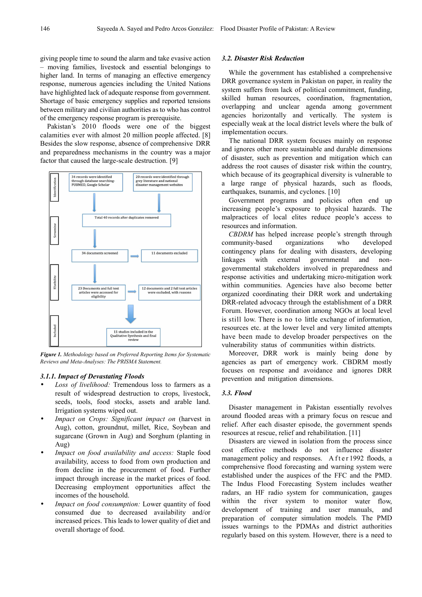giving people time to sound the alarm and take evasive action – moving families, livestock and essential belongings to higher land. In terms of managing an effective emergency response, numerous agencies including the United Nations have highlighted lack of adequate response from government. Shortage of basic emergency supplies and reported tensions between military and civilian authorities as to who has control of the emergency response program is prerequisite.

Pakistan's 2010 floods were one of the biggest calamities ever with almost 20 million people affected. [8] Besides the slow response, absence of comprehensive DRR and preparedness mechanisms in the country was a major factor that caused the large-scale destruction. [9]



*Figure 1. Methodology based on Preferred Reporting Items for Systematic Reviews and Meta-Analyses: The PRISMA Statement.* 

#### *3.1.1. Impact of Devastating Floods*

- Loss of livelihood: Tremendous loss to farmers as a result of widespread destruction to crops, livestock, seeds, tools, food stocks, assets and arable land. Irrigation systems wiped out.
- *Impact on Crops: Significant impact on* (harvest in Aug), cotton, groundnut, millet, Rice, Soybean and sugarcane (Grown in Aug) and Sorghum (planting in Aug)
- *Impact on food availability and access:* Staple food availability, access to food from own production and from decline in the procurement of food. Further impact through increase in the market prices of food. Decreasing employment opportunities affect the incomes of the household.
- *Impact on food consumption:* Lower quantity of food consumed due to decreased availability and/or increased prices. This leads to lower quality of diet and overall shortage of food.

#### *3.2. Disaster Risk Reduction*

While the government has established a comprehensive DRR governance system in Pakistan on paper, in reality the system suffers from lack of political commitment, funding, skilled human resources, coordination, fragmentation, overlapping and unclear agenda among government agencies horizontally and vertically. The system is especially weak at the local district levels where the bulk of implementation occurs.

The national DRR system focuses mainly on response and ignores other more sustainable and durable dimensions of disaster, such as prevention and mitigation which can address the root causes of disaster risk within the country, which because of its geographical diversity is vulnerable to a large range of physical hazards, such as floods, earthquakes, tsunamis, and cyclones. [10]

Government programs and policies often end up increasing people's exposure to physical hazards. The malpractices of local elites reduce people's access to resources and information.

*CBDRM* has helped increase people's strength through community-based organizations who developed contingency plans for dealing with disasters, developing linkages with external governmental and nongovernmental stakeholders involved in preparedness and response activities and undertaking micro-mitigation work within communities. Agencies have also become better organized coordinating their DRR work and undertaking DRR-related advocacy through the establishment of a DRR Forum. However, coordination among NGOs at local level is still low. There is no to little exchange of information, resources etc. at the lower level and very limited attempts have been made to develop broader perspectives on the vulnerability status of communities within districts.

Moreover, DRR work is mainly being done by agencies as part of emergency work. CBDRM mostly focuses on response and avoidance and ignores DRR prevention and mitigation dimensions.

#### *3.3. Flood*

Disaster management in Pakistan essentially revolves around flooded areas with a primary focus on rescue and relief. After each disaster episode, the government spends resources at rescue, relief and rehabilitation. [11]

Disasters are viewed in isolation from the process since cost effective methods do not influence disaster management policy and responses. A fter 1992 floods, a comprehensive flood forecasting and warning system were established under the auspices of the FFC and the PMD. The Indus Flood Forecasting System includes weather radars, an HF radio system for communication, gauges within the river system to monitor water flow. development of training and user manuals, and preparation of computer simulation models. The PMD issues warnings to the PDMAs and district authorities regularly based on this system. However, there is a need to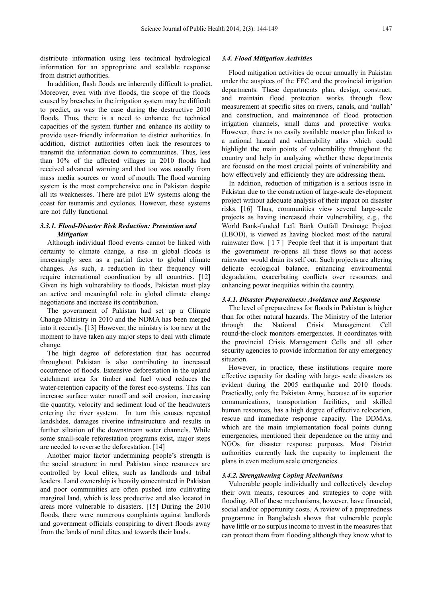distribute information using less technical hydrological information for an appropriate and scalable response from district authorities.

In addition, flash floods are inherently difficult to predict. Moreover, even with rive floods, the scope of the floods caused by breaches in the irrigation system may be difficult to predict, as was the case during the destructive 2010 floods. Thus, there is a need to enhance the technical capacities of the system further and enhance its ability to provide user- friendly information to district authorities. In addition, district authorities often lack the resources to transmit the information down to communities. Thus, less than 10% of the affected villages in 2010 floods had received advanced warning and that too was usually from mass media sources or word of mouth. The flood warning system is the most comprehensive one in Pakistan despite all its weaknesses. There are pilot EW systems along the coast for tsunamis and cyclones. However, these systems are not fully functional.

#### *3.3.1. Flood-Disaster Risk Reduction: Prevention and Mitigation*

Although individual flood events cannot be linked with certainty to climate change, a rise in global floods is increasingly seen as a partial factor to global climate changes. As such, a reduction in their frequency will require international coordination by all countries. [12] Given its high vulnerability to floods, Pakistan must play an active and meaningful role in global climate change negotiations and increase its contribution.

The government of Pakistan had set up a Climate Change Ministry in 2010 and the NDMA has been merged into it recently. [13] However, the ministry is too new at the moment to have taken any major steps to deal with climate change.

The high degree of deforestation that has occurred throughout Pakistan is also contributing to increased occurrence of floods. Extensive deforestation in the upland catchment area for timber and fuel wood reduces the water-retention capacity of the forest eco-systems. This can increase surface water runoff and soil erosion, increasing the quantity, velocity and sediment load of the headwaters entering the river system. In turn this causes repeated landslides, damages riverine infrastructure and results in further siltation of the downstream water channels. While some small-scale reforestation programs exist, major steps are needed to reverse the deforestation. [14]

Another major factor undermining people's strength is the social structure in rural Pakistan since resources are controlled by local elites, such as landlords and tribal leaders. Land ownership is heavily concentrated in Pakistan and poor communities are often pushed into cultivating marginal land, which is less productive and also located in areas more vulnerable to disasters. [15] During the 2010 floods, there were numerous complaints against landlords and government officials conspiring to divert floods away from the lands of rural elites and towards their lands.

#### *3.4. Flood Mitigation Activities*

Flood mitigation activities do occur annually in Pakistan under the auspices of the FFC and the provincial irrigation departments. These departments plan, design, construct, and maintain flood protection works through flow measurement at specific sites on rivers, canals, and 'nullah' and construction, and maintenance of flood protection irrigation channels, small dams and protective works. However, there is no easily available master plan linked to a national hazard and vulnerability atlas which could highlight the main points of vulnerability throughout the country and help in analyzing whether these departments are focused on the most crucial points of vulnerability and how effectively and efficiently they are addressing them.

In addition, reduction of mitigation is a serious issue in Pakistan due to the construction of large-scale development project without adequate analysis of their impact on disaster risks. [16] Thus, communities view several large-scale projects as having increased their vulnerability, e.g., the World Bank-funded Left Bank Outfall Drainage Project (LBOD), is viewed as having blocked most of the natural rainwater flow. [ 1 7 ] People feel that it is important that the government re-opens all these flows so that access rainwater would drain its self out. Such projects are altering delicate ecological balance, enhancing environmental degradation, exacerbating conflicts over resources and enhancing power inequities within the country.

#### *3.4.1. Disaster Preparedness: Avoidance and Response*

The level of preparedness for floods in Pakistan is higher than for other natural hazards. The Ministry of the Interior through the National Crisis Management Cell round-the-clock monitors emergencies. It coordinates with the provincial Crisis Management Cells and all other security agencies to provide information for any emergency situation.

However, in practice, these institutions require more effective capacity for dealing with large- scale disasters as evident during the 2005 earthquake and 2010 floods. Practically, only the Pakistan Army, because of its superior communications, transportation facilities, and skilled human resources, has a high degree of effective relocation, rescue and immediate response capacity. The DDMAs, which are the main implementation focal points during emergencies, mentioned their dependence on the army and NGOs for disaster response purposes. Most District authorities currently lack the capacity to implement the plans in even medium scale emergencies.

#### *3.4.2. Strengthening Coping Mechanisms*

Vulnerable people individually and collectively develop their own means, resources and strategies to cope with flooding. All of these mechanisms, however, have financial, social and/or opportunity costs. A review of a preparedness programme in Bangladesh shows that vulnerable people have little or no surplus income to invest in the measures that can protect them from flooding although they know what to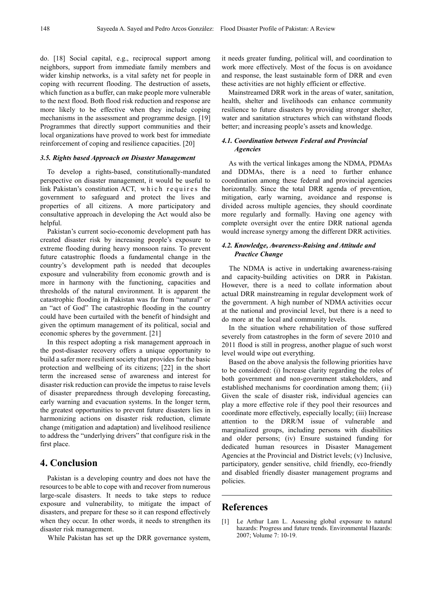do. [18] Social capital, e.g., reciprocal support among neighbors, support from immediate family members and wider kinship networks, is a vital safety net for people in coping with recurrent flooding. The destruction of assets, which function as a buffer, can make people more vulnerable to the next flood. Both flood risk reduction and response are more likely to be effective when they include coping mechanisms in the assessment and programme design. [19] Programmes that directly support communities and their local organizations have proved to work best for immediate reinforcement of coping and resilience capacities. [20]

#### *3.5. Rights based Approach on Disaster Management*

To develop a rights-based, constitutionally-mandated perspective on disaster management, it would be useful to link Pakistan's constitution ACT, which requires the government to safeguard and protect the lives and properties of all citizens. A more participatory and consultative approach in developing the Act would also be helpful.

Pakistan's current socio-economic development path has created disaster risk by increasing people's exposure to extreme flooding during heavy monsoon rains. To prevent future catastrophic floods a fundamental change in the country's development path is needed that decouples exposure and vulnerability from economic growth and is more in harmony with the functioning, capacities and thresholds of the natural environment. It is apparent the catastrophic flooding in Pakistan was far from "natural" or an "act of God" The catastrophic flooding in the country could have been curtailed with the benefit of hindsight and given the optimum management of its political, social and economic spheres by the government. [21]

In this respect adopting a risk management approach in the post-disaster recovery offers a unique opportunity to build a safer more resilient society that provides for the basic protection and wellbeing of its citizens; [22] in the short term the increased sense of awareness and interest for disaster risk reduction can provide the impetus to raise levels of disaster preparedness through developing forecasting, early warning and evacuation systems. In the longer term, the greatest opportunities to prevent future disasters lies in harmonizing actions on disaster risk reduction, climate change (mitigation and adaptation) and livelihood resilience to address the "underlying drivers" that configure risk in the first place.

## **4. Conclusion**

Pakistan is a developing country and does not have the resources to be able to cope with and recover from numerous large-scale disasters. It needs to take steps to reduce exposure and vulnerability, to mitigate the impact of disasters, and prepare for these so it can respond effectively when they occur. In other words, it needs to strengthen its disaster risk management.

While Pakistan has set up the DRR governance system,

it needs greater funding, political will, and coordination to work more effectively. Most of the focus is on avoidance and response, the least sustainable form of DRR and even these activities are not highly efficient or effective.

Mainstreamed DRR work in the areas of water, sanitation, health, shelter and livelihoods can enhance community resilience to future disasters by providing stronger shelter, water and sanitation structures which can withstand floods better; and increasing people's assets and knowledge.

#### *4.1. Coordination between Federal and Provincial Agencies*

As with the vertical linkages among the NDMA, PDMAs and DDMAs, there is a need to further enhance coordination among these federal and provincial agencies horizontally. Since the total DRR agenda of prevention, mitigation, early warning, avoidance and response is divided across multiple agencies, they should coordinate more regularly and formally. Having one agency with complete oversight over the entire DRR national agenda would increase synergy among the different DRR activities.

#### *4.2. Knowledge, Awareness-Raising and Attitude and Practice Change*

The NDMA is active in undertaking awareness-raising and capacity-building activities on DRR in Pakistan. However, there is a need to collate information about actual DRR mainstreaming in regular development work of the government. A high number of NDMA activities occur at the national and provincial level, but there is a need to do more at the local and community levels.

In the situation where rehabilitation of those suffered severely from catastrophes in the form of severe 2010 and 2011 flood is still in progress, another plague of such worst level would wipe out everything.

Based on the above analysis the following priorities have to be considered: (i) Increase clarity regarding the roles of both government and non-government stakeholders, and established mechanisms for coordination among them; (ii) Given the scale of disaster risk, individual agencies can play a more effective role if they pool their resources and coordinate more effectively, especially locally; (iii) Increase attention to the DRR/M issue of vulnerable and marginalized groups, including persons with disabilities and older persons; (iv) Ensure sustained funding for dedicated human resources in Disaster Management Agencies at the Provincial and District levels; (v) Inclusive, participatory, gender sensitive, child friendly, eco-friendly and disabled friendly disaster management programs and policies.

## **References**

[1] Le Arthur Lam L. Assessing global exposure to natural hazards: Progress and future trends. Environmental Hazards: 2007; Volume 7: 10-19.